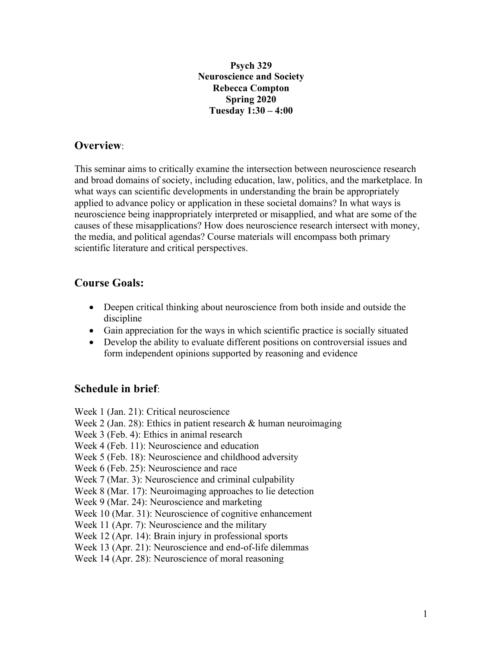**Psych 329 Neuroscience and Society Rebecca Compton Spring 2020 Tuesday 1:30 – 4:00**

# **Overview**:

This seminar aims to critically examine the intersection between neuroscience research and broad domains of society, including education, law, politics, and the marketplace. In what ways can scientific developments in understanding the brain be appropriately applied to advance policy or application in these societal domains? In what ways is neuroscience being inappropriately interpreted or misapplied, and what are some of the causes of these misapplications? How does neuroscience research intersect with money, the media, and political agendas? Course materials will encompass both primary scientific literature and critical perspectives.

# **Course Goals:**

- Deepen critical thinking about neuroscience from both inside and outside the discipline
- Gain appreciation for the ways in which scientific practice is socially situated
- Develop the ability to evaluate different positions on controversial issues and form independent opinions supported by reasoning and evidence

# **Schedule in brief**:

Week 1 (Jan. 21): Critical neuroscience Week 2 (Jan. 28): Ethics in patient research & human neuroimaging Week 3 (Feb. 4): Ethics in animal research Week 4 (Feb. 11): Neuroscience and education Week 5 (Feb. 18): Neuroscience and childhood adversity Week 6 (Feb. 25): Neuroscience and race Week 7 (Mar. 3): Neuroscience and criminal culpability Week 8 (Mar. 17): Neuroimaging approaches to lie detection Week 9 (Mar. 24): Neuroscience and marketing Week 10 (Mar. 31): Neuroscience of cognitive enhancement Week 11 (Apr. 7): Neuroscience and the military Week 12 (Apr. 14): Brain injury in professional sports Week 13 (Apr. 21): Neuroscience and end-of-life dilemmas Week 14 (Apr. 28): Neuroscience of moral reasoning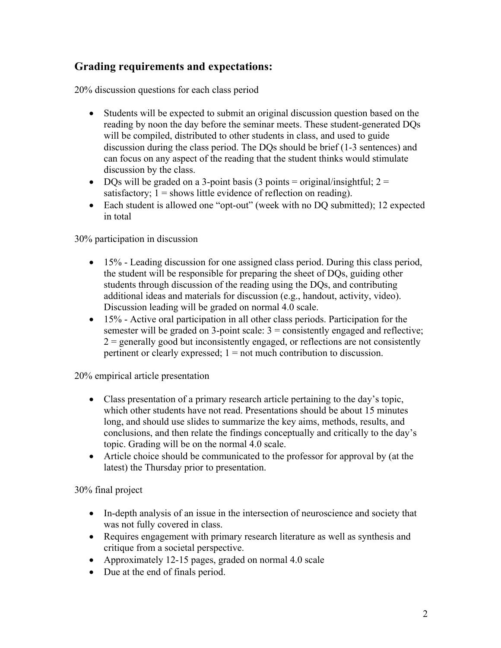# **Grading requirements and expectations:**

20% discussion questions for each class period

- Students will be expected to submit an original discussion question based on the reading by noon the day before the seminar meets. These student-generated DQs will be compiled, distributed to other students in class, and used to guide discussion during the class period. The DQs should be brief (1-3 sentences) and can focus on any aspect of the reading that the student thinks would stimulate discussion by the class.
- DQs will be graded on a 3-point basis (3 points = original/insightful;  $2 =$ satisfactory;  $1 =$  shows little evidence of reflection on reading).
- Each student is allowed one "opt-out" (week with no DQ submitted); 12 expected in total

30% participation in discussion

- 15% Leading discussion for one assigned class period. During this class period, the student will be responsible for preparing the sheet of DQs, guiding other students through discussion of the reading using the DQs, and contributing additional ideas and materials for discussion (e.g., handout, activity, video). Discussion leading will be graded on normal 4.0 scale.
- 15% Active oral participation in all other class periods. Participation for the semester will be graded on 3-point scale:  $3 =$  consistently engaged and reflective;  $2$  = generally good but inconsistently engaged, or reflections are not consistently pertinent or clearly expressed; 1 = not much contribution to discussion.

20% empirical article presentation

- Class presentation of a primary research article pertaining to the day's topic, which other students have not read. Presentations should be about 15 minutes long, and should use slides to summarize the key aims, methods, results, and conclusions, and then relate the findings conceptually and critically to the day's topic. Grading will be on the normal 4.0 scale.
- Article choice should be communicated to the professor for approval by (at the latest) the Thursday prior to presentation.

30% final project

- In-depth analysis of an issue in the intersection of neuroscience and society that was not fully covered in class.
- Requires engagement with primary research literature as well as synthesis and critique from a societal perspective.
- Approximately 12-15 pages, graded on normal 4.0 scale
- Due at the end of finals period.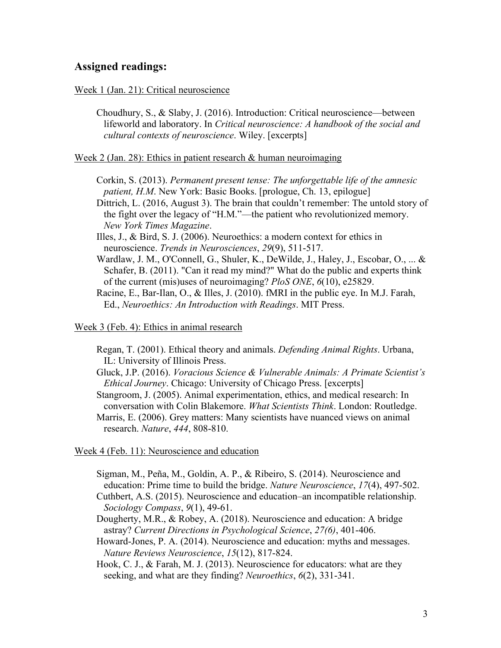## **Assigned readings:**

### Week 1 (Jan. 21): Critical neuroscience

Choudhury, S., & Slaby, J. (2016). Introduction: Critical neuroscience—between lifeworld and laboratory. In *Critical neuroscience: A handbook of the social and cultural contexts of neuroscience*. Wiley. [excerpts]

Week 2 (Jan. 28): Ethics in patient research & human neuroimaging

Corkin, S. (2013). *Permanent present tense: The unforgettable life of the amnesic patient, H.M.* New York: Basic Books. [prologue, Ch. 13, epilogue]

Dittrich, L. (2016, August 3). The brain that couldn't remember: The untold story of the fight over the legacy of "H.M."—the patient who revolutionized memory. *New York Times Magazine*.

Illes, J., & Bird, S. J. (2006). Neuroethics: a modern context for ethics in neuroscience. *Trends in Neurosciences*, *29*(9), 511-517.

Wardlaw, J. M., O'Connell, G., Shuler, K., DeWilde, J., Haley, J., Escobar, O., ... & Schafer, B. (2011). "Can it read my mind?" What do the public and experts think of the current (mis)uses of neuroimaging? *PloS ONE*, *6*(10), e25829.

Racine, E., Bar-Ilan, O., & Illes, J. (2010). fMRI in the public eye. In M.J. Farah, Ed., *Neuroethics: An Introduction with Readings*. MIT Press.

Week 3 (Feb. 4): Ethics in animal research

Regan, T. (2001). Ethical theory and animals. *Defending Animal Rights*. Urbana, IL: University of Illinois Press.

Gluck, J.P. (2016). *Voracious Science & Vulnerable Animals: A Primate Scientist's Ethical Journey*. Chicago: University of Chicago Press. [excerpts]

Stangroom, J. (2005). Animal experimentation, ethics, and medical research: In conversation with Colin Blakemore. *What Scientists Think*. London: Routledge.

Marris, E. (2006). Grey matters: Many scientists have nuanced views on animal research. *Nature*, *444*, 808-810.

Week 4 (Feb. 11): Neuroscience and education

Sigman, M., Peña, M., Goldin, A. P., & Ribeiro, S. (2014). Neuroscience and education: Prime time to build the bridge. *Nature Neuroscience*, *17*(4), 497-502. Cuthbert, A.S. (2015). Neuroscience and education–an incompatible relationship. *Sociology Compass*, *9*(1), 49-61.

- Dougherty, M.R., & Robey, A. (2018). Neuroscience and education: A bridge astray? *Current Directions in Psychological Science*, *27(6)*, 401-406.
- Howard-Jones, P. A. (2014). Neuroscience and education: myths and messages. *Nature Reviews Neuroscience*, *15*(12), 817-824.

Hook, C. J., & Farah, M. J. (2013). Neuroscience for educators: what are they seeking, and what are they finding? *Neuroethics*, *6*(2), 331-341.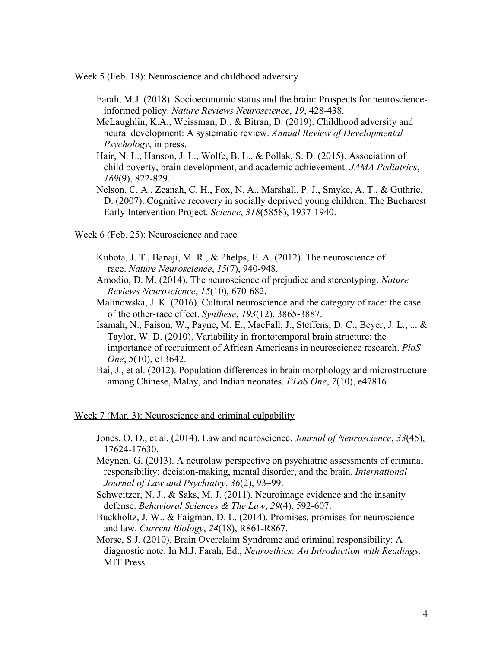### Week 5 (Feb. 18): Neuroscience and childhood adversity

- Farah, M.J. (2018). Socioeconomic status and the brain: Prospects for neuroscienceinformed policy. *Nature Reviews Neuroscience*, *19*, 428-438.
- McLaughlin, K.A., Weissman, D., & Bitran, D. (2019). Childhood adversity and neural development: A systematic review. *Annual Review of Developmental Psychology*, in press.
- Hair, N. L., Hanson, J. L., Wolfe, B. L., & Pollak, S. D. (2015). Association of child poverty, brain development, and academic achievement. *JAMA Pediatrics*, *169*(9), 822-829.
- Nelson, C. A., Zeanah, C. H., Fox, N. A., Marshall, P. J., Smyke, A. T., & Guthrie, D. (2007). Cognitive recovery in socially deprived young children: The Bucharest Early Intervention Project. *Science*, *318*(5858), 1937-1940.

#### Week 6 (Feb. 25): Neuroscience and race

- Kubota, J. T., Banaji, M. R., & Phelps, E. A. (2012). The neuroscience of race. *Nature Neuroscience*, *15*(7), 940-948.
- Amodio, D. M. (2014). The neuroscience of prejudice and stereotyping. *Nature Reviews Neuroscience*, *15*(10), 670-682.
- Malinowska, J. K. (2016). Cultural neuroscience and the category of race: the case of the other-race effect. *Synthese*, *193*(12), 3865-3887.
- Isamah, N., Faison, W., Payne, M. E., MacFall, J., Steffens, D. C., Beyer, J. L., ... & Taylor, W. D. (2010). Variability in frontotemporal brain structure: the importance of recruitment of African Americans in neuroscience research. *PloS One*, *5*(10), e13642.
- Bai, J., et al. (2012). Population differences in brain morphology and microstructure among Chinese, Malay, and Indian neonates. *PLoS One*, *7*(10), e47816.

### Week 7 (Mar. 3): Neuroscience and criminal culpability

- Jones, O. D., et al. (2014). Law and neuroscience. *Journal of Neuroscience*, *33*(45), 17624-17630.
- Meynen, G. (2013). A neurolaw perspective on psychiatric assessments of criminal responsibility: decision-making, mental disorder, and the brain. *International Journal of Law and Psychiatry*, *36*(2), 93–99.
- Schweitzer, N. J., & Saks, M. J. (2011). Neuroimage evidence and the insanity defense. *Behavioral Sciences & The Law*, *29*(4), 592-607.
- Buckholtz, J. W., & Faigman, D. L. (2014). Promises, promises for neuroscience and law. *Current Biology*, *24*(18), R861-R867.
- Morse, S.J. (2010). Brain Overclaim Syndrome and criminal responsibility: A diagnostic note. In M.J. Farah, Ed., *Neuroethics: An Introduction with Readings*. MIT Press.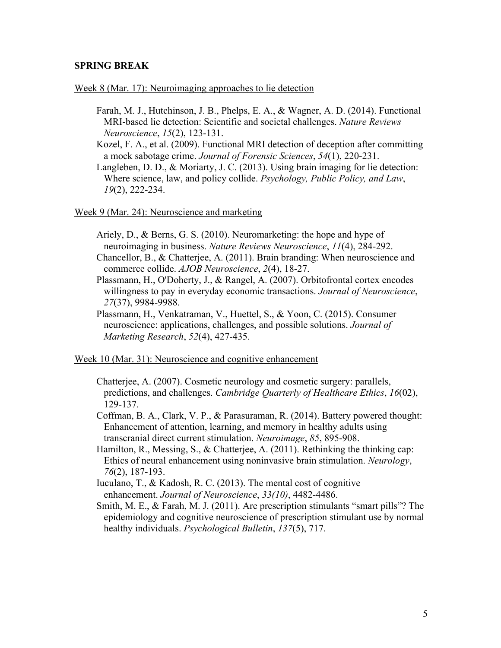## **SPRING BREAK**

#### Week 8 (Mar. 17): Neuroimaging approaches to lie detection

Farah, M. J., Hutchinson, J. B., Phelps, E. A., & Wagner, A. D. (2014). Functional MRI-based lie detection: Scientific and societal challenges. *Nature Reviews Neuroscience*, *15*(2), 123-131.

Kozel, F. A., et al. (2009). Functional MRI detection of deception after committing a mock sabotage crime. *Journal of Forensic Sciences*, *54*(1), 220-231.

Langleben, D. D., & Moriarty, J. C. (2013). Using brain imaging for lie detection: Where science, law, and policy collide. *Psychology, Public Policy, and Law*, *19*(2), 222-234.

Week 9 (Mar. 24): Neuroscience and marketing

- Ariely, D., & Berns, G. S. (2010). Neuromarketing: the hope and hype of neuroimaging in business. *Nature Reviews Neuroscience*, *11*(4), 284-292.
- Chancellor, B., & Chatterjee, A. (2011). Brain branding: When neuroscience and commerce collide. *AJOB Neuroscience*, *2*(4), 18-27.
- Plassmann, H., O'Doherty, J., & Rangel, A. (2007). Orbitofrontal cortex encodes willingness to pay in everyday economic transactions. *Journal of Neuroscience*, *27*(37), 9984-9988.
- Plassmann, H., Venkatraman, V., Huettel, S., & Yoon, C. (2015). Consumer neuroscience: applications, challenges, and possible solutions. *Journal of Marketing Research*, *52*(4), 427-435.

Week 10 (Mar. 31): Neuroscience and cognitive enhancement

- Chatterjee, A. (2007). Cosmetic neurology and cosmetic surgery: parallels, predictions, and challenges. *Cambridge Quarterly of Healthcare Ethics*, *16*(02), 129-137.
- Coffman, B. A., Clark, V. P., & Parasuraman, R. (2014). Battery powered thought: Enhancement of attention, learning, and memory in healthy adults using transcranial direct current stimulation. *Neuroimage*, *85*, 895-908.
- Hamilton, R., Messing, S., & Chatterjee, A. (2011). Rethinking the thinking cap: Ethics of neural enhancement using noninvasive brain stimulation. *Neurology*, *76*(2), 187-193.
- Iuculano, T., & Kadosh, R. C. (2013). The mental cost of cognitive enhancement. *Journal of Neuroscience*, *33(10)*, 4482-4486.
- Smith, M. E., & Farah, M. J. (2011). Are prescription stimulants "smart pills"? The epidemiology and cognitive neuroscience of prescription stimulant use by normal healthy individuals. *Psychological Bulletin*, *137*(5), 717.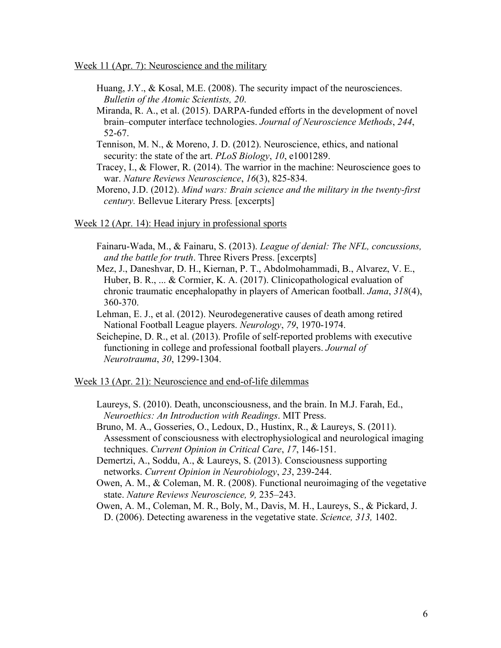Week 11 (Apr. 7): Neuroscience and the military

- Huang, J.Y., & Kosal, M.E. (2008). The security impact of the neurosciences. *Bulletin of the Atomic Scientists, 20*.
- Miranda, R. A., et al. (2015). DARPA-funded efforts in the development of novel brain–computer interface technologies. *Journal of Neuroscience Methods*, *244*, 52-67.
- Tennison, M. N., & Moreno, J. D. (2012). Neuroscience, ethics, and national security: the state of the art. *PLoS Biology*, *10*, e1001289.
- Tracey, I., & Flower, R. (2014). The warrior in the machine: Neuroscience goes to war. *Nature Reviews Neuroscience*, *16*(3), 825-834.
- Moreno, J.D. (2012). *Mind wars: Brain science and the military in the twenty-first century.* Bellevue Literary Press*.* [excerpts]

### Week 12 (Apr. 14): Head injury in professional sports

- Fainaru-Wada, M., & Fainaru, S. (2013). *League of denial: The NFL, concussions, and the battle for truth*. Three Rivers Press. [excerpts]
- Mez, J., Daneshvar, D. H., Kiernan, P. T., Abdolmohammadi, B., Alvarez, V. E., Huber, B. R., ... & Cormier, K. A. (2017). Clinicopathological evaluation of chronic traumatic encephalopathy in players of American football. *Jama*, *318*(4), 360-370.
- Lehman, E. J., et al. (2012). Neurodegenerative causes of death among retired National Football League players. *Neurology*, *79*, 1970-1974.
- Seichepine, D. R., et al. (2013). Profile of self-reported problems with executive functioning in college and professional football players. *Journal of Neurotrauma*, *30*, 1299-1304.

#### Week 13 (Apr. 21): Neuroscience and end-of-life dilemmas

- Laureys, S. (2010). Death, unconsciousness, and the brain. In M.J. Farah, Ed., *Neuroethics: An Introduction with Readings*. MIT Press.
- Bruno, M. A., Gosseries, O., Ledoux, D., Hustinx, R., & Laureys, S. (2011). Assessment of consciousness with electrophysiological and neurological imaging techniques. *Current Opinion in Critical Care*, *17*, 146-151.
- Demertzi, A., Soddu, A., & Laureys, S. (2013). Consciousness supporting networks. *Current Opinion in Neurobiology*, *23*, 239-244.
- Owen, A. M., & Coleman, M. R. (2008). Functional neuroimaging of the vegetative state. *Nature Reviews Neuroscience, 9,* 235–243.
- Owen, A. M., Coleman, M. R., Boly, M., Davis, M. H., Laureys, S., & Pickard, J. D. (2006). Detecting awareness in the vegetative state. *Science, 313,* 1402.